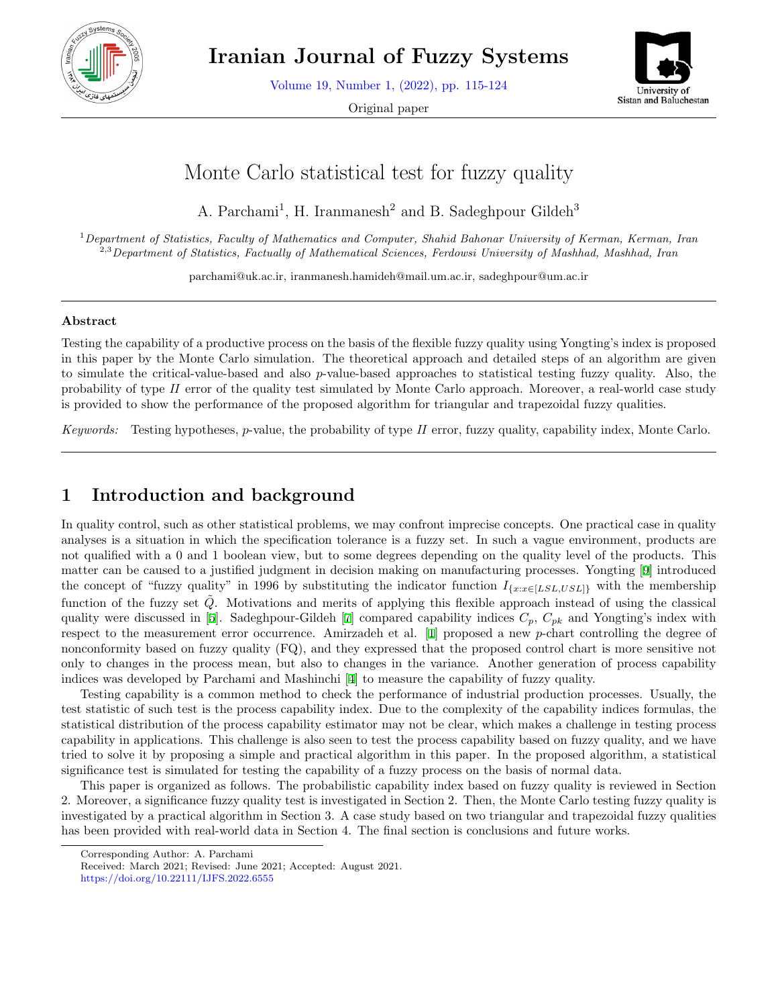

**Iranian Journal of Fuzzy Systems**

Volume 19, Number 1, (2022), pp. 115-124

Original paper



# Monte Carlo statistical test for fuzzy quality

A. Parchami<sup>1</sup>, H. Iranmanesh<sup>2</sup> and B. Sadeghpour Gildeh<sup>3</sup>

<sup>1</sup>*Department of Statistics, Faculty of Mathematics and Computer, Shahid Bahonar University of Kerman, Kerman, Iran* 2,3*Department of Statistics, Factually of Mathematical Sciences, Ferdowsi University of Mashhad, Mashhad, Iran*

parchami@uk.ac.ir, iranmanesh.hamideh@mail.um.ac.ir, sadeghpour@um.ac.ir

#### **Abstract**

Testing the capability of a productive process on the basis of the flexible fuzzy quality using Yongting's index is proposed in this paper by the Monte Carlo simulation. The theoretical approach and detailed steps of an algorithm are given to simulate the critical-value-based and also *p*-value-based approaches to statistical testing fuzzy quality. Also, the probability of type *II* error of the quality test simulated by Monte Carlo approach. Moreover, a real-world case study is provided to show the performance of the proposed algorithm for triangular and trapezoidal fuzzy qualities.

*Keywords:* Testing hypotheses, *p*-value, the probability of type *II* error, fuzzy quality, capability index, Monte Carlo.

### **1 Introduction and background**

In quality control, such as other statistical problems, we may confront imprecise concepts. One practical case in quality analyses is a situation in which the specification tolerance is a fuzzy set. In such a vague environment, products are not qualified with a 0 and 1 boolean view, but to some degrees depending on the quality level of the products. This matter can be caused to a justified judgment in decision making on manufacturing processes. Yongting [[9](#page-9-0)] introduced the concept of "fuzzy quality" in 1996 by substituting the indicator function  $I_{\{x:x\in [LSL,USL]\}}$  with the membership function of the fuzzy set  $\tilde{Q}$ . Motivations and merits of applying this flexible approach instead of using the classical quality were discussed in [[5\]](#page-9-1). Sadeghpour-Gildeh [\[7](#page-9-2)] compared capability indices *Cp*, *Cpk* and Yongting's index with respect to the measurement error occurrence. Amirzadeh et al. [\[1](#page-9-3)] proposed a new *p*-chart controlling the degree of nonconformity based on fuzzy quality (FQ), and they expressed that the proposed control chart is more sensitive not only to changes in the process mean, but also to changes in the variance. Another generation of process capability indices was developed by Parchami and Mashinchi [\[4](#page-9-4)] to measure the capability of fuzzy quality.

Testing capability is a common method to check the performance of industrial production processes. Usually, the test statistic of such test is the process capability index. Due to the complexity of the capability indices formulas, the statistical distribution of the process capability estimator may not be clear, which makes a challenge in testing process capability in applications. This challenge is also seen to test the process capability based on fuzzy quality, and we have tried to solve it by proposing a simple and practical algorithm in this paper. In the proposed algorithm, a statistical significance test is simulated for testing the capability of a fuzzy process on the basis of normal data.

This paper is organized as follows. The probabilistic capability index based on fuzzy quality is reviewed in Section 2. Moreover, a significance fuzzy quality test is investigated in Section 2. Then, the Monte Carlo testing fuzzy quality is investigated by a practical algorithm in Section 3. A case study based on two triangular and trapezoidal fuzzy qualities has been provided with real-world data in Section 4. The final section is conclusions and future works.

Corresponding Author: A. Parchami

Received: March 2021; Revised: June 2021; Accepted: August 2021.

https://doi.org/10.22111/IJFS.2022.6555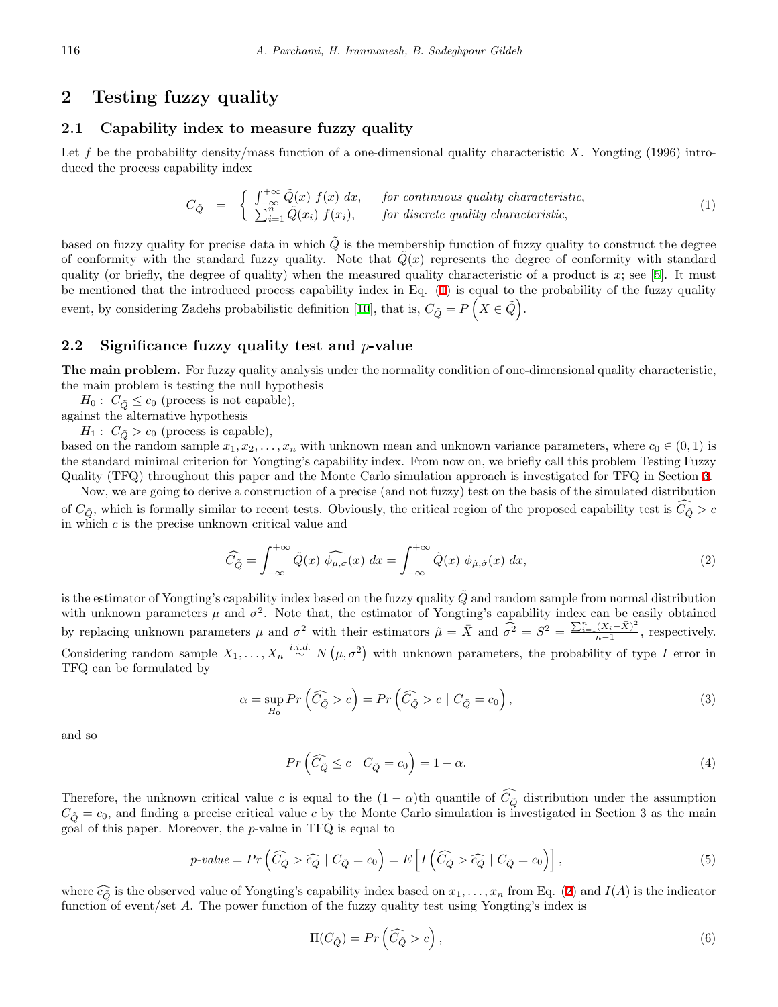### **2 Testing fuzzy quality**

#### **2.1 Capability index to measure fuzzy quality**

Let f be the probability density/mass function of a one-dimensional quality characteristic X. Yongting (1996) introduced the process capability index

<span id="page-1-0"></span>
$$
C_{\tilde{Q}} = \begin{cases} \int_{-\infty}^{+\infty} \tilde{Q}(x) f(x) dx, & \text{for continuous quality characteristic,} \\ \sum_{i=1}^{n} \tilde{Q}(x_i) f(x_i), & \text{for discrete quality characteristic,} \end{cases}
$$
 (1)

based on fuzzy quality for precise data in which  $\tilde{Q}$  is the membership function of fuzzy quality to construct the degree of conformity with the standard fuzzy quality. Note that  $\hat{Q}(x)$  represents the degree of conformity with standard quality (or briefly, the degree of quality) when the measured quality characteristic of a product is  $x$ ; see [\[5](#page-9-1)]. It must be mentioned that the introduced process capability index in Eq. [\(1](#page-1-0)) is equal to the probability of the fuzzy quality event, by considering Zadehs probabilistic definition [[10](#page-9-5)], that is,  $C_{\tilde{Q}} = P(X \in \tilde{Q})$ .

#### **2.2 Significance fuzzy quality test and** *p***-value**

**The main problem.** For fuzzy quality analysis under the normality condition of one-dimensional quality characteristic, the main problem is testing the null hypothesis

 $H_0: C_{\tilde{O}} \leq c_0$  (process is not capable),

against the alternative hypothesis

 $H_1: C_{\tilde{Q}} > c_0$  (process is capable),

based on the random sample  $x_1, x_2, \ldots, x_n$  with unknown mean and unknown variance parameters, where  $c_0 \in (0,1)$  is the standard minimal criterion for Yongting's capability index. From now on, we briefly call this problem Testing Fuzzy Quality (TFQ) throughout this paper and the Monte Carlo simulation approach is investigated for TFQ in Section [3](#page-2-0).

Now, we are going to derive a construction of a precise (and not fuzzy) test on the basis of the simulated distribution of  $C_{\tilde{Q}}$ , which is formally similar to recent tests. Obviously, the critical region of the proposed capability test is  $\widehat{C_{\tilde{Q}}}>c$ in which *c* is the precise unknown critical value and

<span id="page-1-1"></span>
$$
\widehat{C}_{\tilde{Q}} = \int_{-\infty}^{+\infty} \tilde{Q}(x) \widehat{\phi_{\mu,\sigma}}(x) dx = \int_{-\infty}^{+\infty} \tilde{Q}(x) \phi_{\hat{\mu},\hat{\sigma}}(x) dx,
$$
\n(2)

is the estimator of Yongting's capability index based on the fuzzy quality  $\tilde{Q}$  and random sample from normal distribution with unknown parameters  $\mu$  and  $\sigma^2$ . Note that, the estimator of Yongting's capability index can be easily obtained by replacing unknown parameters  $\mu$  and  $\sigma^2$  with their estimators  $\hat{\mu} = \bar{X}$  and  $\hat{\sigma}^2 = S^2 = \frac{\sum_{i=1}^n (X_i - \bar{X})^2}{n-1}$  $\frac{(A_i - A)}{n-1}$ , respectively. Considering random sample  $X_1, \ldots, X_n \stackrel{i.i.d.}{\sim} N(\mu, \sigma^2)$  with unknown parameters, the probability of type *I* error in TFQ can be formulated by

$$
\alpha = \sup_{H_0} \Pr\left(\widehat{C}_{\tilde{Q}} > c\right) = \Pr\left(\widehat{C}_{\tilde{Q}} > c \mid C_{\tilde{Q}} = c_0\right),\tag{3}
$$

and so

<span id="page-1-2"></span>
$$
Pr\left(\widehat{C}_{\tilde{Q}} \le c \mid C_{\tilde{Q}} = c_0\right) = 1 - \alpha. \tag{4}
$$

Therefore, the unknown critical value *c* is equal to the  $(1 - \alpha)$ th quantile of  $\widehat{C}_{\widehat{Q}}$  distribution under the assumption  $C_{\tilde{O}} = c_0$ , and finding a precise critical value *c* by the Monte Carlo simulation is investigated in Section 3 as the main goal of this paper. Moreover, the *p*-value in TFQ is equal to

<span id="page-1-3"></span>
$$
p\text{-value} = Pr\left(\widehat{C}_{\tilde{Q}} > \widehat{c}_{\tilde{Q}} \mid C_{\tilde{Q}} = c_0\right) = E\left[I\left(\widehat{C}_{\tilde{Q}} > \widehat{c}_{\tilde{Q}} \mid C_{\tilde{Q}} = c_0\right)\right],\tag{5}
$$

where  $\widehat{c}_0$  is the observed value of Yongting's capability index based on  $x_1, \ldots, x_n$  from Eq. [\(2](#page-1-1)) and  $I(A)$  is the indicator function of event/set *A*. The power function of the fuzzy quality test using Yongting's index is

$$
\Pi(C_{\tilde{Q}}) = Pr\left(\widehat{C}_{\tilde{Q}} > c\right),\tag{6}
$$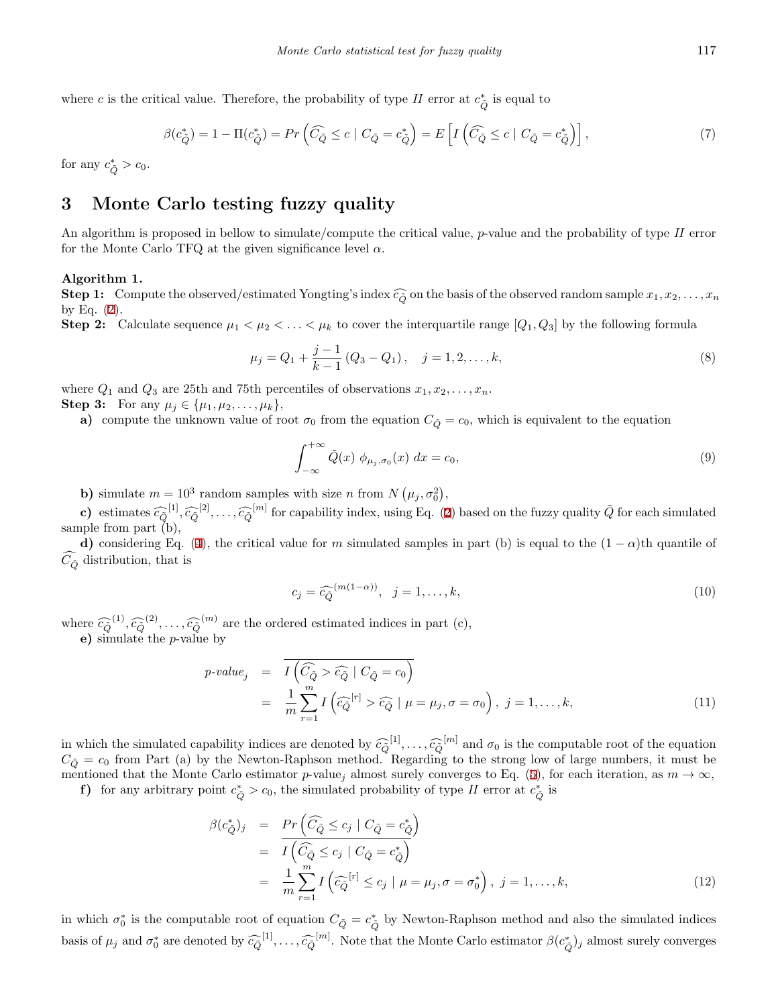where *c* is the critical value. Therefore, the probability of type *II* error at  $c^*_{\tilde{Q}}$  is equal to

<span id="page-2-1"></span>
$$
\beta(c_{\tilde{Q}}^*) = 1 - \Pi(c_{\tilde{Q}}^*) = Pr\left(\widehat{C}_{\tilde{Q}} \le c \mid C_{\tilde{Q}} = c_{\tilde{Q}}^*\right) = E\left[I\left(\widehat{C}_{\tilde{Q}} \le c \mid C_{\tilde{Q}} = c_{\tilde{Q}}^*\right)\right],\tag{7}
$$

for any  $c^*_{\tilde{Q}} > c_0$ .

# <span id="page-2-0"></span>**3 Monte Carlo testing fuzzy quality**

An algorithm is proposed in bellow to simulate/compute the critical value, *p*-value and the probability of type *II* error for the Monte Carlo TFQ at the given significance level *α*.

#### **Algorithm 1.**

**Step 1:** Compute the observed/estimated Yongting's index  $\widehat{c}_Q$  on the basis of the observed random sample  $x_1, x_2, \ldots, x_n$ by Eq.  $(2)$  $(2)$ .

**Step 2:** Calculate sequence  $\mu_1 < \mu_2 < \ldots < \mu_k$  to cover the interquartile range  $[Q_1, Q_3]$  by the following formula

$$
\mu_j = Q_1 + \frac{j-1}{k-1} (Q_3 - Q_1), \quad j = 1, 2, \dots, k,
$$
\n(8)

where  $Q_1$  and  $Q_3$  are 25th and 75th percentiles of observations  $x_1, x_2, \ldots, x_n$ .

**Step 3:** For any  $\mu_j \in \{\mu_1, \mu_2, \ldots, \mu_k\},\$ 

**a)** compute the unknown value of root  $\sigma_0$  from the equation  $C_{\tilde{O}} = c_0$ , which is equivalent to the equation

$$
\int_{-\infty}^{+\infty} \tilde{Q}(x) \phi_{\mu_j, \sigma_0}(x) dx = c_0,
$$
\n(9)

**b**) simulate  $m = 10^3$  random samples with size *n* from  $N(\mu_j, \sigma_0^2)$ , 0

**c**) estimates  $\widehat{c}_{\widehat{Q}}^{[1]}, \widehat{c}_{\widehat{Q}}^{[2]}, \ldots, \widehat{c}_{\widehat{Q}}^{[m]}$  $\widehat{c}_{\widehat{Q}}^{[1]}, \widehat{c}_{\widehat{Q}}^{[2]}, \ldots, \widehat{c}_{\widehat{Q}}^{[m]}$  $\widehat{c}_{\widehat{Q}}^{[1]}, \widehat{c}_{\widehat{Q}}^{[2]}, \ldots, \widehat{c}_{\widehat{Q}}^{[m]}$  for capability index, using Eq. (2) based on the fuzzy quality  $\widetilde{Q}$  for each simulated sample from part (b),

**d**) considering Eq. ([4\)](#page-1-2), the critical value for *m* simulated samples in part (b) is equal to the  $(1 - \alpha)$ th quantile of  $\hat{C}_{\tilde{Q}}$  distribution, that is

$$
c_j = \widehat{c}_{\widehat{Q}}^{(m(1-\alpha))}, \quad j = 1, \dots, k,\tag{10}
$$

where  $\widehat{c}_{\widehat{Q}}^{(1)}, \widehat{c}_{\widehat{Q}}^{(2)}, \ldots, \widehat{c}_{\widehat{Q}}^{(m)}$  are the ordered estimated indices in part (c),

**e)** simulate the *p*-value by

$$
p-value_j = \overline{I\left(\widehat{C}_{\tilde{Q}} > \widehat{c}_{\tilde{Q}} \mid C_{\tilde{Q}} = c_0\right)}
$$
  

$$
= \frac{1}{m} \sum_{r=1}^{m} I\left(\widehat{c}_{\tilde{Q}}^{[r]} > \widehat{c}_{\tilde{Q}} \mid \mu = \mu_j, \sigma = \sigma_0\right), j = 1, ..., k,
$$
 (11)

in which the simulated capability indices are denoted by  $\widehat{c}_Q^{[1]}, \ldots, \widehat{c}_Q^{[m]}$  and  $\sigma_0$  is the computable root of the equation  $C_{\tilde{Q}} = c_0$  from Part (a) by the Newton-Raphson method. Regarding to the strong low of large numbers, it must be mentioned that the Monte Carlo estimator *p*-value<sub>j</sub> almost surely converges to Eq. [\(5](#page-1-3)), for each iteration, as  $m \to \infty$ ,

**f**) for any arbitrary point  $c^*_{\tilde{Q}} > c_0$ , the simulated probability of type *II* error at  $c^*_{\tilde{Q}}$  is

$$
\beta(c_{\tilde{Q}}^*)_j = Pr \left( \widehat{C}_{\tilde{Q}} \le c_j \mid C_{\tilde{Q}} = c_{\tilde{Q}}^* \right)
$$
  
\n
$$
= \overline{I \left( \widehat{C}_{\tilde{Q}} \le c_j \mid C_{\tilde{Q}} = c_{\tilde{Q}}^* \right)}
$$
  
\n
$$
= \frac{1}{m} \sum_{r=1}^m I \left( \widehat{c}_{\tilde{Q}}^{[r]} \le c_j \mid \mu = \mu_j, \sigma = \sigma_0^* \right), j = 1, ..., k,
$$
 (12)

in which  $\sigma_0^*$  is the computable root of equation  $C_{\tilde{Q}} = c_{\tilde{Q}}^*$  by Newton-Raphson method and also the simulated indices basis of  $\mu_j$  and  $\sigma_0^*$  are denoted by  $\widehat{c_Q}^{[1]}, \ldots, \widehat{c_Q}^{[m]}$ . Note that the Monte Carlo estimator  $\beta(c_{\tilde{Q}}^*)_j$  almost surely converges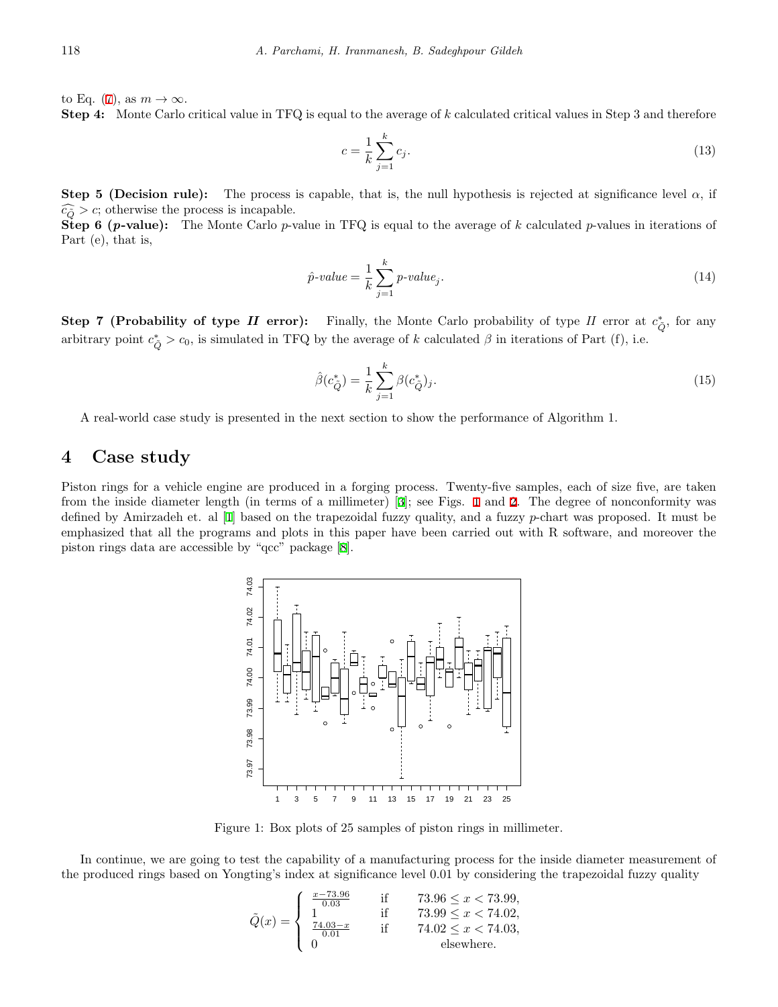to Eq. [\(7](#page-2-1)), as  $m \to \infty$ .

**Step 4:** Monte Carlo critical value in TFQ is equal to the average of *k* calculated critical values in Step 3 and therefore

$$
c = \frac{1}{k} \sum_{j=1}^{k} c_j.
$$
 (13)

**Step 5 (Decision rule):** The process is capable, that is, the null hypothesis is rejected at significance level  $\alpha$ , if  $\widehat{c_{\tilde{O}}} > c$ ; otherwise the process is incapable.

**Step 6 (***p***-value):** The Monte Carlo *p*-value in TFQ is equal to the average of *k* calculated *p*-values in iterations of Part (e), that is,

$$
\hat{p}\text{-}value = \frac{1}{k} \sum_{j=1}^{k} p\text{-}value_j.
$$
\n<sup>(14)</sup>

**Step 7 (Probability of type** *II* **error):** Finally, the Monte Carlo probability of type *II* error at  $c^*_{\tilde{Q}}$ , for any arbitrary point  $c^*_{\tilde{Q}} > c_0$ , is simulated in TFQ by the average of *k* calculated  $\beta$  in iterations of Part (f), i.e.

<span id="page-3-1"></span>
$$
\hat{\beta}(c_{\tilde{Q}}^*) = \frac{1}{k} \sum_{j=1}^k \beta(c_{\tilde{Q}}^*)_j.
$$
\n(15)

A real-world case study is presented in the next section to show the performance of Algorithm 1.

### **4 Case study**

Piston rings for a vehicle engine are produced in a forging process. Twenty-five samples, each of size five, are taken from the inside diameter length (in terms of a millimeter) [\[3](#page-9-6)]; see Figs. [1](#page-3-0) and [2.](#page-4-0) The degree of nonconformity was defined by Amirzadeh et. al [[1\]](#page-9-3) based on the trapezoidal fuzzy quality, and a fuzzy *p*-chart was proposed. It must be emphasized that all the programs and plots in this paper have been carried out with R software, and moreover the piston rings data are accessible by "qcc" package [[8\]](#page-9-7).



Figure 1: Box plots of 25 samples of piston rings in millimeter.

In continue, we are going to test the capability of a manufacturing process for the inside diameter measurement of the produced rings based on Yongting's index at significance level 0.01 by considering the trapezoidal fuzzy quality

<span id="page-3-0"></span>
$$
\tilde{Q}(x) = \begin{cases}\n\frac{x - 73.96}{0.03} & \text{if } 73.96 \leq x < 73.99, \\
1 & \text{if } 73.99 \leq x < 74.02, \\
\frac{74.03 - x}{0.01} & \text{if } 74.02 \leq x < 74.03, \\
0 & \text{elsewhere.}\n\end{cases}
$$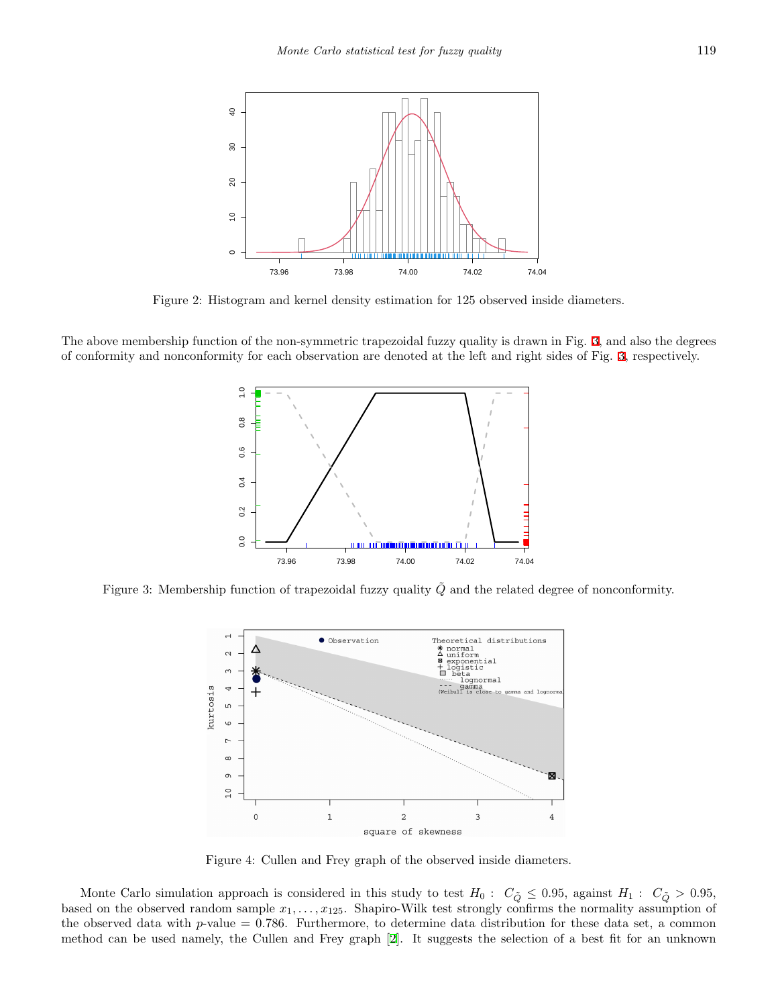

Figure 2: Histogram and kernel density estimation for 125 observed inside diameters.

The above membership function of the non-symmetric trapezoidal fuzzy quality is drawn in Fig. [3](#page-4-1), and also the degrees of conformity and nonconformity for each observation are denoted at the left and right sides of Fig. [3](#page-4-1), respectively.

<span id="page-4-0"></span>

Figure 3: Membership function of trapezoidal fuzzy quality *Q* and the related degree of nonconformity.

<span id="page-4-1"></span>

<span id="page-4-2"></span>Figure 4: Cullen and Frey graph of the observed inside diameters.

Monte Carlo simulation approach is considered in this study to test  $H_0$ :  $C_{\tilde{Q}} \leq 0.95$ , against  $H_1$ :  $C_{\tilde{Q}} > 0.95$ , based on the observed random sample  $x_1, \ldots, x_{125}$ . Shapiro-Wilk test strongly confirms the normality assumption of the observed data with  $p$ -value = 0.786. Furthermore, to determine data distribution for these data set, a common method can be used namely, the Cullen and Frey graph [[2\]](#page-9-8). It suggests the selection of a best fit for an unknown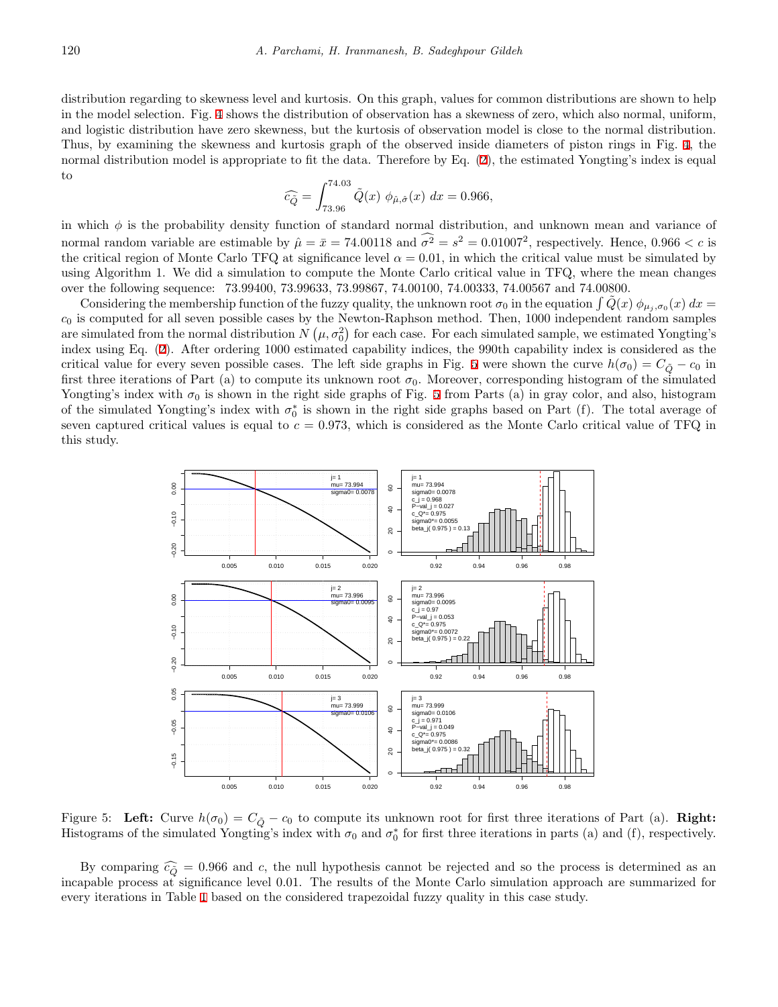distribution regarding to skewness level and kurtosis. On this graph, values for common distributions are shown to help in the model selection. Fig. [4](#page-4-2) shows the distribution of observation has a skewness of zero, which also normal, uniform, and logistic distribution have zero skewness, but the kurtosis of observation model is close to the normal distribution. Thus, by examining the skewness and kurtosis graph of the observed inside diameters of piston rings in Fig. [4,](#page-4-2) the normal distribution model is appropriate to fit the data. Therefore by Eq.  $(2)$  $(2)$  $(2)$ , the estimated Yongting's index is equal to

$$
\widehat{c}_{\widehat{Q}} = \int_{73.96}^{74.03} \tilde{Q}(x) \phi_{\hat{\mu}, \hat{\sigma}}(x) dx = 0.966,
$$

in which *ϕ* is the probability density function of standard normal distribution, and unknown mean and variance of normal random variable are estimable by  $\hat{\mu} = \bar{x} = 74.00118$  and  $\sigma^2 = s^2 = 0.01007^2$ , respectively. Hence,  $0.966 < c$  is the critical region of Monte Carlo TFQ at significance level  $\alpha = 0.01$ , in which the critical value must be simulated by using Algorithm 1. We did a simulation to compute the Monte Carlo critical value in TFQ, where the mean changes over the following sequence: 73.99400, 73.99633, 73.99867, 74.00100, 74.00333, 74.00567 and 74.00800.

Considering the membership function of the fuzzy quality, the unknown root  $\sigma_0$  in the equation  $\int \tilde{Q}(x) \phi_{\mu_j,\sigma_0}(x) dx =$ *c*<sup>0</sup> is computed for all seven possible cases by the Newton-Raphson method. Then, 1000 independent random samples are simulated from the normal distribution  $N(\mu, \sigma_0^2)$  for each case. For each simulated sample, we estimated Yongting's index using Eq. ([2](#page-1-1)). After ordering 1000 estimated capability indices, the 990th capability index is considered as the critical value for every seven possible cases. The left side graphs in Fig. [5](#page-5-0) were shown the curve  $h(\sigma_0) = C_{\tilde{O}} - c_0$  in first three iterations of Part (a) to compute its unknown root  $\sigma_0$ . Moreover, corresponding histogram of the simulated Yongting's index with  $\sigma_0$  is shown in the right side graphs of Fig. [5](#page-5-0) from Parts (a) in gray color, and also, histogram of the simulated Yongting's index with  $\sigma_0^*$  is shown in the right side graphs based on Part (f). The total average of seven captured critical values is equal to  $c = 0.973$ , which is considered as the Monte Carlo critical value of TFQ in this study.



<span id="page-5-0"></span>Figure 5: Left: Curve  $h(\sigma_0) = C_{\tilde{Q}} - c_0$  to compute its unknown root for first three iterations of Part (a). **Right:** Histograms of the simulated Yongting's index with  $\sigma_0$  and  $\sigma_0^*$  for first three iterations in parts (a) and (f), respectively.

By comparing  $\hat{c}_0$  = 0.966 and *c*, the null hypothesis cannot be rejected and so the process is determined as an incapable process at significance level 0.01. The results of the Monte Carlo simulation approach are summarized for every iterations in Table [1](#page-6-0) based on the considered trapezoidal fuzzy quality in this case study.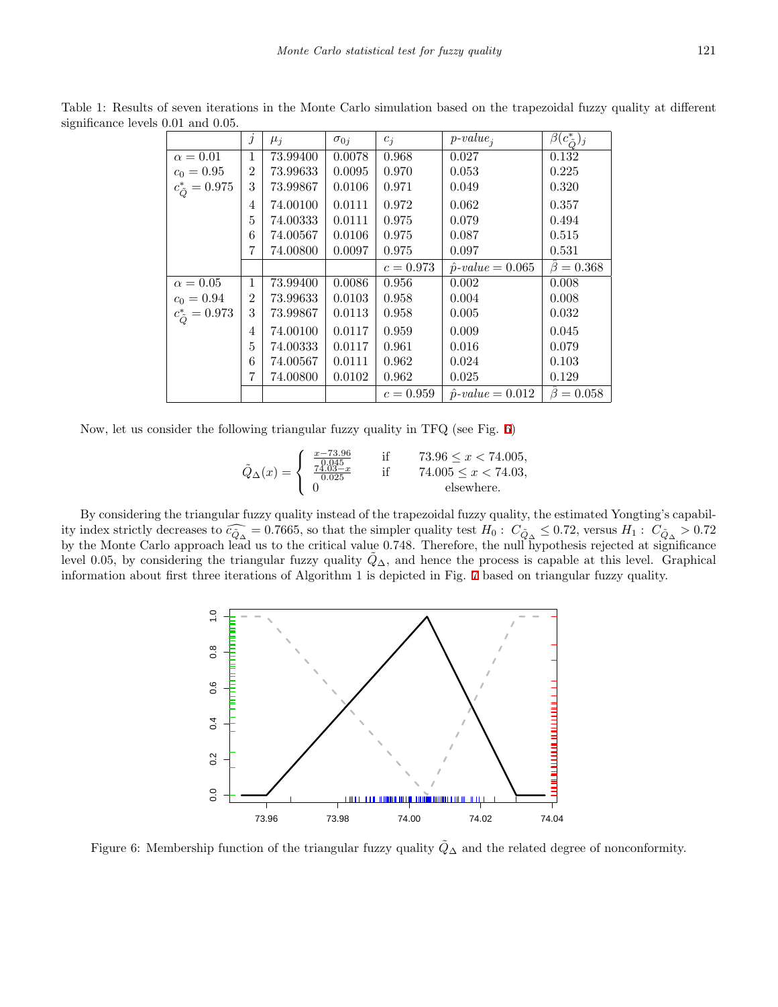|                           | $\jmath$       | $\mu_i$  | $\sigma_{0i}$ | $c_j$       | $p-value_i$                    | $\beta(c_{\tilde{O}}^*)_j$ |
|---------------------------|----------------|----------|---------------|-------------|--------------------------------|----------------------------|
| $\alpha = 0.01$           | 1              | 73.99400 | 0.0078        | 0.968       | 0.027                          | 0.132                      |
| $c_0 = 0.95$              | $\overline{2}$ | 73.99633 | 0.0095        | 0.970       | 0.053                          | 0.225                      |
| $c_{\tilde{O}}^* = 0.975$ | 3              | 73.99867 | 0.0106        | 0.971       | 0.049                          | 0.320                      |
|                           | 4              | 74.00100 | 0.0111        | 0.972       | 0.062                          | 0.357                      |
|                           | 5              | 74.00333 | 0.0111        | 0.975       | 0.079                          | 0.494                      |
|                           | 6              | 74.00567 | 0.0106        | 0.975       | 0.087                          | 0.515                      |
|                           | 7              | 74.00800 | 0.0097        | 0.975       | 0.097                          | 0.531                      |
|                           |                |          |               | $c = 0.973$ | $\hat{p}\text{-}value = 0.065$ | $\ddot{\beta}=0.368$       |
| $\alpha = 0.05$           | 1              | 73.99400 | 0.0086        | 0.956       | 0.002                          | 0.008                      |
| $c_0 = 0.94$              | $\overline{2}$ | 73.99633 | 0.0103        | 0.958       | 0.004                          | 0.008                      |
| $c_{\tilde{Q}}^* = 0.973$ | 3              | 73.99867 | 0.0113        | 0.958       | 0.005                          | 0.032                      |
|                           | 4              | 74.00100 | 0.0117        | 0.959       | 0.009                          | 0.045                      |
|                           | 5              | 74.00333 | 0.0117        | 0.961       | 0.016                          | 0.079                      |
|                           | 6              | 74.00567 | 0.0111        | 0.962       | 0.024                          | 0.103                      |
|                           | 7              | 74.00800 | 0.0102        | 0.962       | 0.025                          | 0.129                      |
|                           |                |          |               | $c = 0.959$ | $\hat{p}\text{-}value = 0.012$ | $\beta = 0.058$            |

<span id="page-6-0"></span>Table 1: Results of seven iterations in the Monte Carlo simulation based on the trapezoidal fuzzy quality at different significance levels 0*.*01 and 0*.*05.

Now, let us consider the following triangular fuzzy quality in TFQ (see Fig. [6](#page-6-1))

$$
\tilde{Q}_{\Delta}(x) = \begin{cases}\n\frac{x - 73.96}{0.045} & \text{if } 73.96 \le x < 74.005, \\
\frac{74.03 - x}{0.025} & \text{if } 74.005 \le x < 74.03, \\
0 & \text{elsewhere.}\n\end{cases}
$$

By considering the triangular fuzzy quality instead of the trapezoidal fuzzy quality, the estimated Yongting's capability index strictly decreases to  $\widehat{c_{\widehat{\mathcal{Q}}}} \leq 0.7665$ , so that the simpler quality test  $H_0: C_{\widehat{\mathcal{Q}}_0} \leq 0.72$ , versus  $H_1: C_{\widehat{\mathcal{Q}}_0} > 0.72$ by the Monte Carlo approach lead us to the critical value 0.748. Therefore, the null hypothesis rejected at significance level 0.05, by considering the triangular fuzzy quality  $Q_{\Delta}$ , and hence the process is capable at this level. Graphical information about first three iterations of Algorithm 1 is depicted in Fig. [7](#page-7-0) based on triangular fuzzy quality.

<span id="page-6-1"></span>

Figure 6: Membership function of the triangular fuzzy quality  $\tilde{Q}_\Delta$  and the related degree of nonconformity.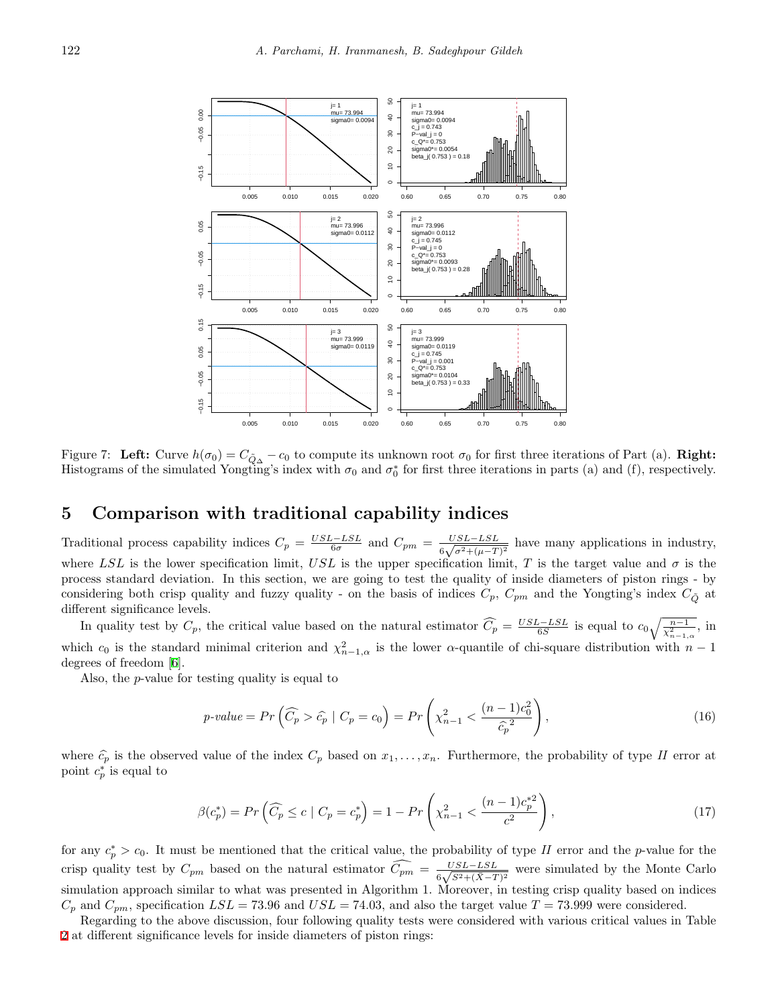

Figure 7: Left: Curve  $h(\sigma_0) = C_{\tilde{Q}_{\Delta}} - c_0$  to compute its unknown root  $\sigma_0$  for first three iterations of Part (a). Right: Histograms of the simulated Yongting's index with  $\sigma_0$  and  $\sigma_0^*$  for first three iterations in parts (a) and (f), respectively.

# **5 Comparison with traditional capability indices**

Traditional process capability indices  $C_p = \frac{USL - LSL}{6\sigma}$  and  $C_{pm} = \frac{USL - LSL}{6\sqrt{\sigma^2 + (\mu - T)}}$  $\frac{USL - LSL}{6\sqrt{\sigma^2 + (\mu - T)^2}}$  have many applications in industry, where *LSL* is the lower specification limit, *USL* is the upper specification limit, *T* is the target value and  $\sigma$  is the process standard deviation. In this section, we are going to test the quality of inside diameters of piston rings - by considering both crisp quality and fuzzy quality - on the basis of indices  $C_p$ ,  $C_{pm}$  and the Yongting's index  $C_{\tilde{O}}$  at different significance levels.

In quality test by  $C_p$ , the critical value based on the natural estimator  $\widehat{C_p} = \frac{USL - LSL}{6S}$  is equal to  $c_0 \sqrt{\frac{n-1}{\chi^2_{n-1,\alpha}}},$  in which  $c_0$  is the standard minimal criterion and  $\chi^2_{n-1,\alpha}$  is the lower  $\alpha$ -quantile of chi-square distribution with  $n-1$ degrees of freedom [\[6](#page-9-9)].

Also, the *p*-value for testing quality is equal to

<span id="page-7-0"></span>
$$
p\text{-value} = Pr\left(\widehat{C_p} > \widehat{c_p} \mid C_p = c_0\right) = Pr\left(\chi_{n-1}^2 < \frac{(n-1)c_0^2}{\widehat{c_p}^2}\right),\tag{16}
$$

where  $\hat{c}_p$  is the observed value of the index  $C_p$  based on  $x_1, \ldots, x_n$ . Furthermore, the probability of type *II* error at point  $c_p^*$  is equal to

$$
\beta(c_p^*) = Pr\left(\widehat{C_p} \le c \mid C_p = c_p^*\right) = 1 - Pr\left(\chi_{n-1}^2 < \frac{(n-1)c_p^{*2}}{c^2}\right),\tag{17}
$$

for any  $c_p^* > c_0$ . It must be mentioned that the critical value, the probability of type *II* error and the *p*-value for the crisp quality test by  $C_{pm}$  based on the natural estimator  $\widehat{C_{pm}} = \frac{USL - LSL}{6\sqrt{S^2 + (\bar{X} - I)}}$  $\frac{USL-LSL}{6\sqrt{S^2+(\bar{X}-T)^2}}$  were simulated by the Monte Carlo simulation approach similar to what was presented in Algorithm 1. Moreover, in testing crisp quality based on indices  $C_p$  and  $C_{pm}$ , specification  $LSL = 73.96$  and  $USL = 74.03$ , and also the target value  $T = 73.999$  were considered.

Regarding to the above discussion, four following quality tests were considered with various critical values in Table [2](#page-8-0) at different significance levels for inside diameters of piston rings: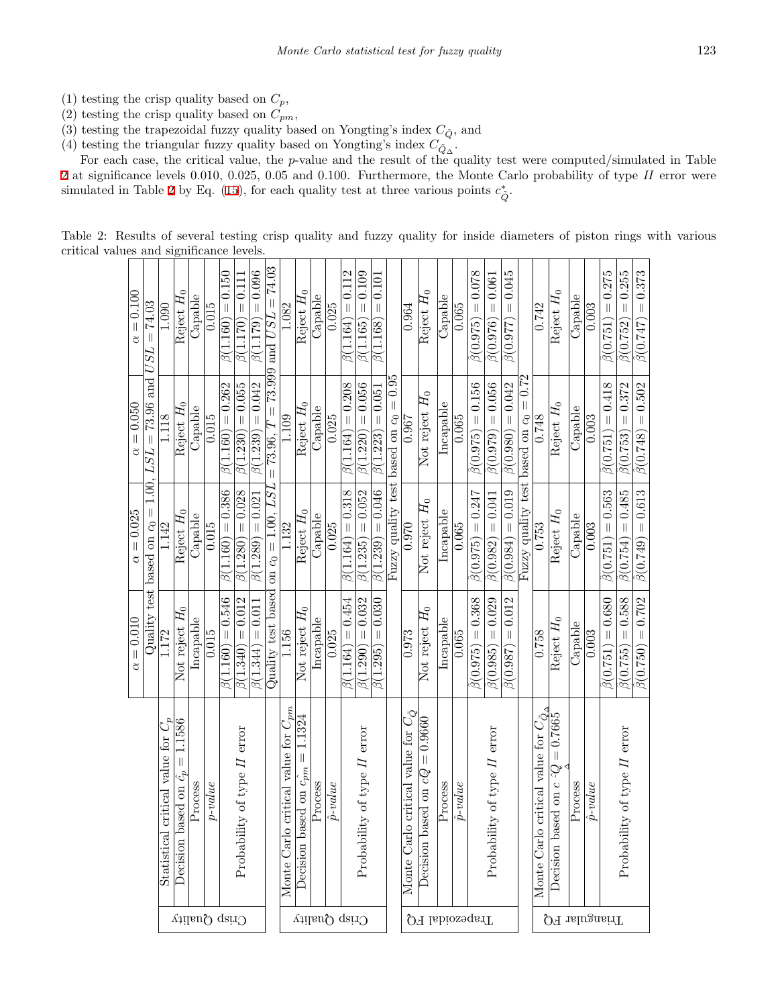- (1) testing the crisp quality based on  $C_p$ ,
- (2) testing the crisp quality based on  $C_{pm}$ ,
- (3) testing the trapezoidal fuzzy quality based on Yongting's index  $C_{\tilde{Q}}$ , and
- (4) testing the triangular fuzzy quality based on Yongting's index  $C_{\tilde{Q}_\Delta}$ .

For each case, the critical value, the *p*-value and the result of the quality test were computed/simulated in Table [2](#page-8-0) at significance levels 0.010, 0.025, 0.05 and 0.100. Furthermore, the Monte Carlo probability of type *II* error were simulated in Table [2](#page-8-0) by Eq. ([15\)](#page-3-1), for each quality test at three various points  $c^*_{\tilde{Q}}$ .

<span id="page-8-0"></span>

| Table 2: Results of several testing crisp quality and fuzzy quality for inside diameters of piston rings with various |  |  |  |  |  |  |  |  |  |  |  |  |  |  |  |  |  |
|-----------------------------------------------------------------------------------------------------------------------|--|--|--|--|--|--|--|--|--|--|--|--|--|--|--|--|--|
| critical values and significance levels.                                                                              |  |  |  |  |  |  |  |  |  |  |  |  |  |  |  |  |  |
|                                                                                                                       |  |  |  |  |  |  |  |  |  |  |  |  |  |  |  |  |  |